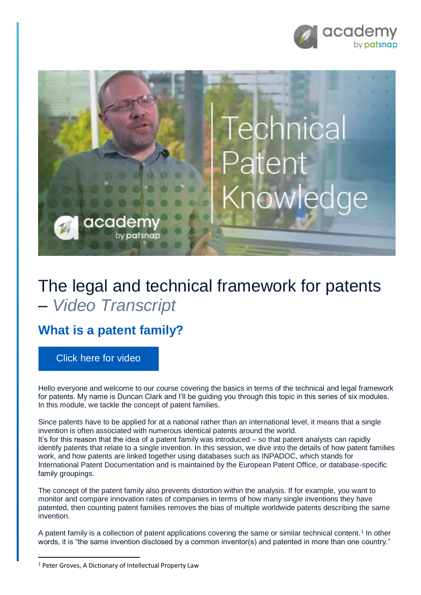



# The legal and technical framework for patents – *Video Transcript*

## **What is a patent family?**

[Click here for video](https://academy.patsnap.com/courses/59bf8b7b7066d400129756ce/units/5a462af502989b0014b3d1a8#module-3)

Hello everyone and welcome to our course covering the basics in terms of the technical and legal framework for patents. My name is Duncan Clark and I'll be guiding you through this topic in this series of six modules. In this module, we tackle the concept of patent families.

Since patents have to be applied for at a national rather than an international level, it means that a single invention is often associated with numerous identical patents around the world. It's for this reason that the idea of a patent family was introduced – so that patent analysts can rapidly identify patents that relate to a single invention. In this session, we dive into the details of how patent families work, and how patents are linked together using databases such as INPADOC, which stands for International Patent Documentation and is maintained by the European Patent Office, or database-specific family groupings.

The concept of the patent family also prevents distortion within the analysis. If for example, you want to monitor and compare innovation rates of companies in terms of how many single inventions they have patented, then counting patent families removes the bias of multiple worldwide patents describing the same invention.

A patent family is a collection of patent applications covering the same or similar technical content.<sup>1</sup> In other words, it is "the same invention disclosed by a common inventor(s) and patented in more than one country."

**.** 

<sup>&</sup>lt;sup>1</sup> Peter Groves, A Dictionary of Intellectual Property Law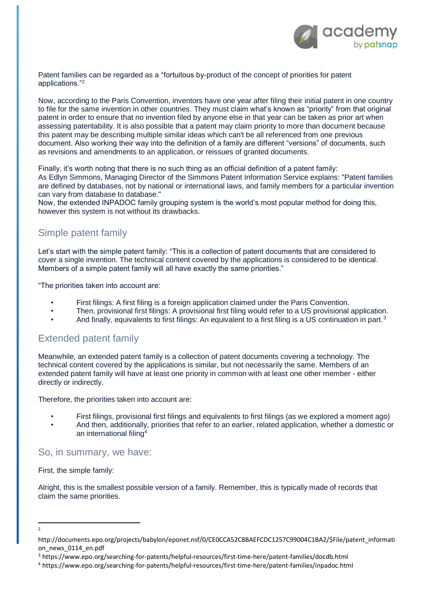

Patent families can be regarded as a "fortuitous by-product of the concept of priorities for patent applications."<sup>2</sup>

Now, according to the Paris Convention, inventors have one year after filing their initial patent in one country to file for the same invention in other countries. They must claim what's known as "priority" from that original patent in order to ensure that no invention filed by anyone else in that year can be taken as prior art when assessing patentability. It is also possible that a patent may claim priority to more than document because this patent may be describing multiple similar ideas which can't be all referenced from one previous document. Also working their way into the definition of a family are different "versions" of documents, such as revisions and amendments to an application, or reissues of granted documents.

Finally, it's worth noting that there is no such thing as an official definition of a patent family:

As Edlyn Simmons, Managing Director of the Simmons Patent Information Service explains: "Patent families are defined by databases, not by national or international laws, and family members for a particular invention can vary from database to database."

Now, the extended INPADOC family grouping system is the world's most popular method for doing this, however this system is not without its drawbacks.

### Simple patent family

Let's start with the simple patent family: "This is a collection of patent documents that are considered to cover a single invention. The technical content covered by the applications is considered to be identical. Members of a simple patent family will all have exactly the same priorities."

"The priorities taken into account are:

- First filings: A first filing is a foreign application claimed under the Paris Convention.
- Then, provisional first filings: A provisional first filing would refer to a US provisional application.
- And finally, equivalents to first filings: An equivalent to a first filing is a US continuation in part.<sup>3</sup>

#### Extended patent family

Meanwhile, an extended patent family is a collection of patent documents covering a technology. The technical content covered by the applications is similar, but not necessarily the same. Members of an extended patent family will have at least one priority in common with at least one other member - either directly or indirectly.

Therefore, the priorities taken into account are:

- First filings, provisional first filings and equivalents to first filings (as we explored a moment ago)
- And then, additionally, priorities that refer to an earlier, related application, whether a domestic or an international filing<sup>4</sup>

#### So, in summary, we have:

First, the simple family:

Alright, this is the smallest possible version of a family. Remember, this is typically made of records that claim the same priorities.

**.** 2

http://documents.epo.org/projects/babylon/eponet.nsf/0/CE0CCA52C8BAEFCDC1257C99004C1BA2/\$File/patent\_informati on\_news\_0114\_en.pdf

<sup>3</sup> https://www.epo.org/searching-for-patents/helpful-resources/first-time-here/patent-families/docdb.html

<sup>4</sup> https://www.epo.org/searching-for-patents/helpful-resources/first-time-here/patent-families/inpadoc.html